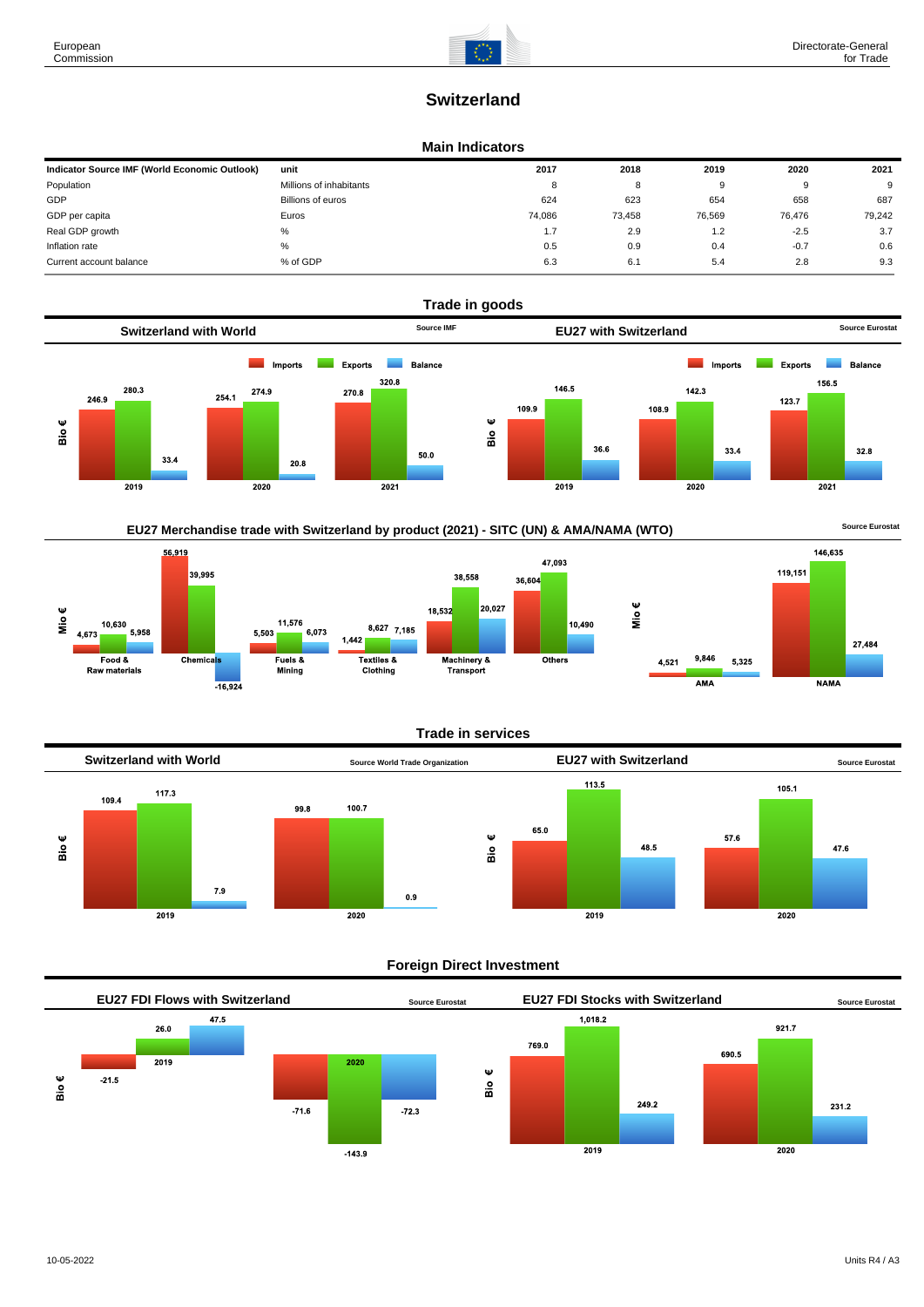# **Switzerland**

#### **Main Indicators**

| Indicator Source IMF (World Economic Outlook) | unit                    | 2017   | 2018   | 2019   | 2020   | 2021   |
|-----------------------------------------------|-------------------------|--------|--------|--------|--------|--------|
| Population                                    | Millions of inhabitants | 8      | 8      |        | 9      | 9      |
| GDP                                           | Billions of euros       | 624    | 623    | 654    | 658    | 687    |
| GDP per capita                                | Euros                   | 74.086 | 73.458 | 76,569 | 76.476 | 79.242 |
| Real GDP growth                               | %                       | 1.7    | 2.9    | 1.2    | $-2.5$ | 3.7    |
| Inflation rate                                | %                       | 0.5    | 0.9    | 0.4    | $-0.7$ | 0.6    |
| Current account balance                       | % of GDP                | 6.3    | 6.1    | 5.4    | 2.8    | 9.3    |





### **Trade in services**



### **Foreign Direct Investment**